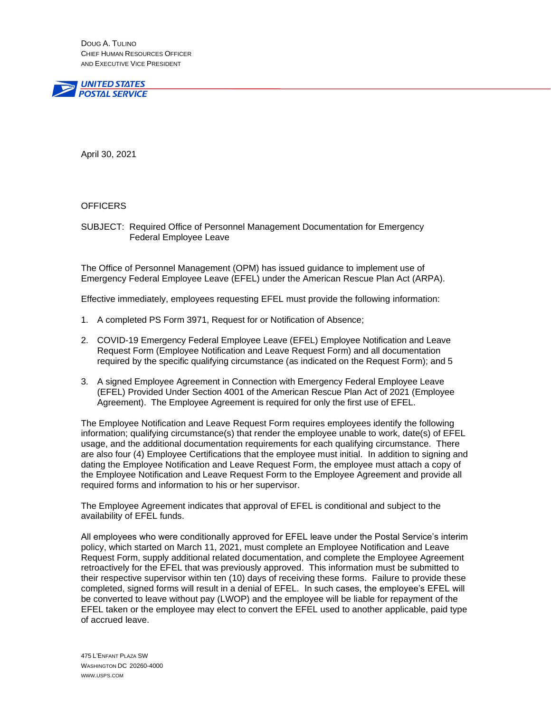DOUG A. TULINO CHIEF HUMAN RESOURCES OFFICER AND EXECUTIVE VICE PRESIDENT



April 30, 2021

#### **OFFICERS**

SUBJECT: Required Office of Personnel Management Documentation for Emergency Federal Employee Leave

The Office of Personnel Management (OPM) has issued guidance to implement use of Emergency Federal Employee Leave (EFEL) under the American Rescue Plan Act (ARPA).

Effective immediately, employees requesting EFEL must provide the following information:

- 1. A completed PS Form 3971, Request for or Notification of Absence;
- 2. COVID-19 Emergency Federal Employee Leave (EFEL) Employee Notification and Leave Request Form (Employee Notification and Leave Request Form) and all documentation required by the specific qualifying circumstance (as indicated on the Request Form); and 5
- 3. A signed Employee Agreement in Connection with Emergency Federal Employee Leave (EFEL) Provided Under Section 4001 of the American Rescue Plan Act of 2021 (Employee Agreement). The Employee Agreement is required for only the first use of EFEL.

The Employee Notification and Leave Request Form requires employees identify the following information; qualifying circumstance(s) that render the employee unable to work, date(s) of EFEL usage, and the additional documentation requirements for each qualifying circumstance. There are also four (4) Employee Certifications that the employee must initial. In addition to signing and dating the Employee Notification and Leave Request Form, the employee must attach a copy of the Employee Notification and Leave Request Form to the Employee Agreement and provide all required forms and information to his or her supervisor.

The Employee Agreement indicates that approval of EFEL is conditional and subject to the availability of EFEL funds.

All employees who were conditionally approved for EFEL leave under the Postal Service's interim policy, which started on March 11, 2021, must complete an Employee Notification and Leave Request Form, supply additional related documentation, and complete the Employee Agreement retroactively for the EFEL that was previously approved. This information must be submitted to their respective supervisor within ten (10) days of receiving these forms. Failure to provide these completed, signed forms will result in a denial of EFEL. In such cases, the employee's EFEL will be converted to leave without pay (LWOP) and the employee will be liable for repayment of the EFEL taken or the employee may elect to convert the EFEL used to another applicable, paid type of accrued leave.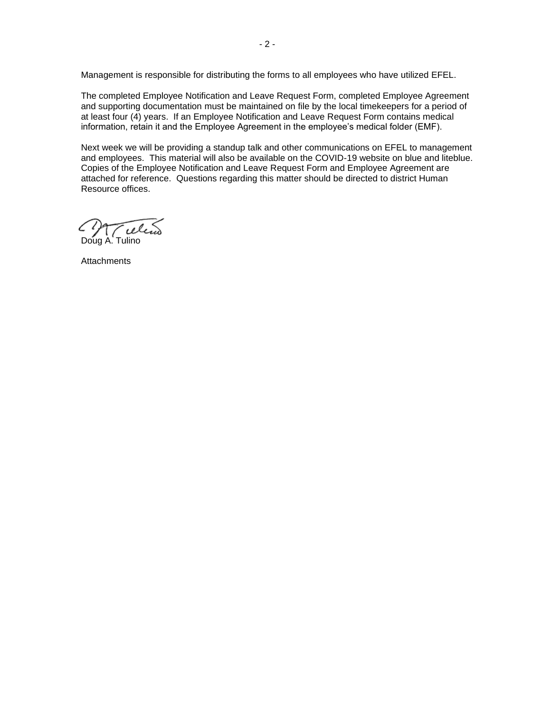Management is responsible for distributing the forms to all employees who have utilized EFEL.

The completed Employee Notification and Leave Request Form, completed Employee Agreement and supporting documentation must be maintained on file by the local timekeepers for a period of at least four (4) years. If an Employee Notification and Leave Request Form contains medical information, retain it and the Employee Agreement in the employee's medical folder (EMF).

Next week we will be providing a standup talk and other communications on EFEL to management and employees. This material will also be available on the COVID-19 website on blue and liteblue. Copies of the Employee Notification and Leave Request Form and Employee Agreement are attached for reference. Questions regarding this matter should be directed to district Human Resource offices.

reli Doug A. Tulino

**Attachments**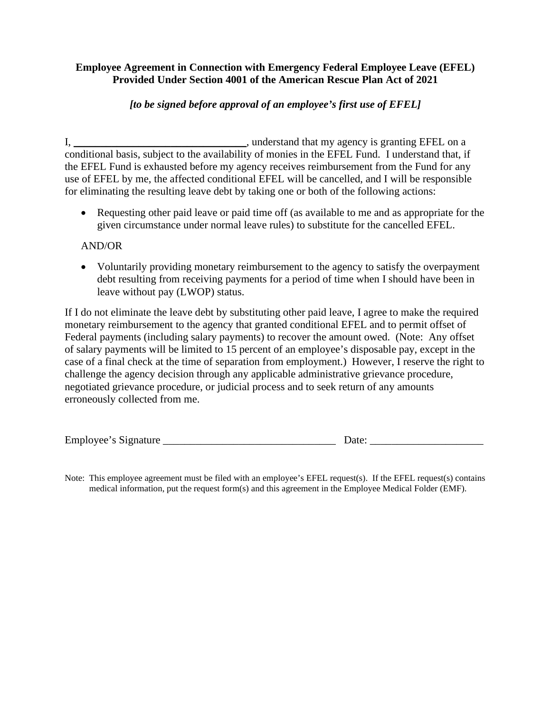# **Employee Agreement in Connection with Emergency Federal Employee Leave (EFEL) Provided Under Section 4001 of the American Rescue Plan Act of 2021**

# *[to be signed before approval of an employee's first use of EFEL]*

I, *\_\_\_\_\_\_\_\_\_\_\_\_\_\_\_\_\_\_\_\_\_\_\_\_\_\_\_\_\_\_\_\_*, understand that my agency is granting EFEL on a conditional basis, subject to the availability of monies in the EFEL Fund. I understand that, if the EFEL Fund is exhausted before my agency receives reimbursement from the Fund for any use of EFEL by me, the affected conditional EFEL will be cancelled, and I will be responsible for eliminating the resulting leave debt by taking one or both of the following actions:

• Requesting other paid leave or paid time off (as available to me and as appropriate for the given circumstance under normal leave rules) to substitute for the cancelled EFEL.

# AND/OR

• Voluntarily providing monetary reimbursement to the agency to satisfy the overpayment debt resulting from receiving payments for a period of time when I should have been in leave without pay (LWOP) status.

If I do not eliminate the leave debt by substituting other paid leave, I agree to make the required monetary reimbursement to the agency that granted conditional EFEL and to permit offset of Federal payments (including salary payments) to recover the amount owed. (Note: Any offset of salary payments will be limited to 15 percent of an employee's disposable pay, except in the case of a final check at the time of separation from employment.) However, I reserve the right to challenge the agency decision through any applicable administrative grievance procedure, negotiated grievance procedure, or judicial process and to seek return of any amounts erroneously collected from me.

| $\blacksquare$<br>Employee's Signature |  |
|----------------------------------------|--|
|                                        |  |

Note: This employee agreement must be filed with an employee's EFEL request(s). If the EFEL request(s) contains medical information, put the request form(s) and this agreement in the Employee Medical Folder (EMF).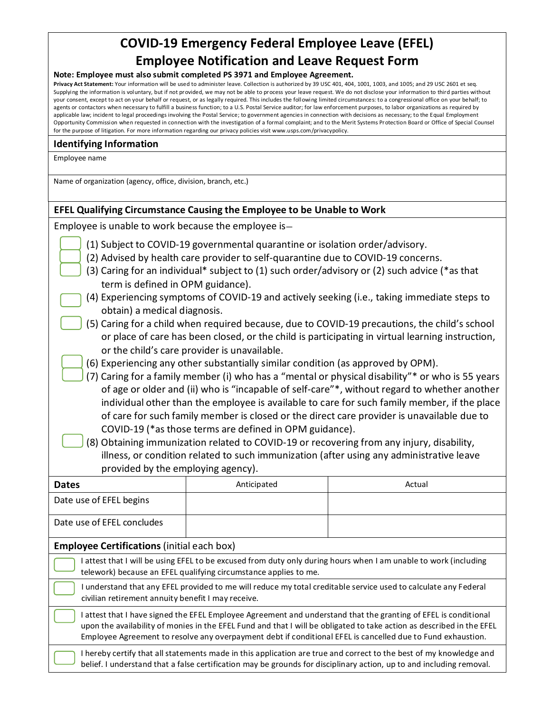# **COVID-19 Emergency Federal Employee Leave (EFEL) Employee Notification and Leave Request Form**

#### **Note: Employee must also submit completed PS 3971 and Employee Agreement.**

**Privacy Act Statement:** Your information will be used to administer leave. Collection is authorized by 39 USC 401, 404, 1001, 1003, and 1005; and 29 USC 2601 et seq. Supplying the information is voluntary, but if not provided, we may not be able to process your leave request. We do not disclose your information to third parties without your consent, except to act on your behalf or request, or as legally required. This includes the following limited circumstances: to a congressional office on your behalf; to agents or contactors when necessary to fulfill a business function; to a U.S. Postal Service auditor; for law enforcement purposes, to labor organizations as required by applicable law; incident to legal proceedings involving the Postal Service; to government agencies in connection with decisions as necessary; to the Equal Employment Opportunity Commission when requested in connection with the investigation of a formal complaint; and to the Merit Systems Protection Board or Office of Special Counsel for the purpose of litigation. For more information regarding our privacy policies visit www.usps.com/privacypolicy.

#### **Identifying Information**

Employee name

Name of organization (agency, office, division, branch, etc.)

#### **EFEL Qualifying Circumstance Causing the Employee to be Unable to Work**

Employee is unable to work because the employee is—

- (1) Subject to COVID-19 governmental quarantine or isolation order/advisory.
- (2) Advised by health care provider to self-quarantine due to COVID-19 concerns.
- (3) Caring for an individual\* subject to (1) such order/advisory or (2) such advice (\*as that term is defined in OPM guidance).
- (4) Experiencing symptoms of COVID-19 and actively seeking (i.e., taking immediate steps to obtain) a medical diagnosis.
- (5) Caring for a child when required because, due to COVID-19 precautions, the child's school or place of care has been closed, or the child is participating in virtual learning instruction, or the child's care provider is unavailable.
- (6) Experiencing any other substantially similar condition (as approved by OPM).
- (7) Caring for a family member (i) who has a "mental or physical disability"\* or who is 55 years of age or older and (ii) who is "incapable of self-care"\*, without regard to whether another individual other than the employee is available to care for such family member, if the place of care for such family member is closed or the direct care provider is unavailable due to COVID-19 (\*as those terms are defined in OPM guidance).
- (8) Obtaining immunization related to COVID-19 or recovering from any injury, disability, illness, or condition related to such immunization (after using any administrative leave provided by the employing agency).

| <b>Dates</b>                                                                                                                                                                                                                                                                                                                                          | Anticipated                                                                                                                                                                                                                                | Actual |  |  |
|-------------------------------------------------------------------------------------------------------------------------------------------------------------------------------------------------------------------------------------------------------------------------------------------------------------------------------------------------------|--------------------------------------------------------------------------------------------------------------------------------------------------------------------------------------------------------------------------------------------|--------|--|--|
| Date use of EFEL begins                                                                                                                                                                                                                                                                                                                               |                                                                                                                                                                                                                                            |        |  |  |
| Date use of EFEL concludes                                                                                                                                                                                                                                                                                                                            |                                                                                                                                                                                                                                            |        |  |  |
| <b>Employee Certifications (initial each box)</b>                                                                                                                                                                                                                                                                                                     |                                                                                                                                                                                                                                            |        |  |  |
| attest that I will be using EFEL to be excused from duty only during hours when I am unable to work (including<br>telework) because an EFEL qualifying circumstance applies to me.                                                                                                                                                                    |                                                                                                                                                                                                                                            |        |  |  |
| I understand that any EFEL provided to me will reduce my total creditable service used to calculate any Federal<br>civilian retirement annuity benefit I may receive.                                                                                                                                                                                 |                                                                                                                                                                                                                                            |        |  |  |
| attest that I have signed the EFEL Employee Agreement and understand that the granting of EFEL is conditional<br>upon the availability of monies in the EFEL Fund and that I will be obligated to take action as described in the EFEL<br>Employee Agreement to resolve any overpayment debt if conditional EFEL is cancelled due to Fund exhaustion. |                                                                                                                                                                                                                                            |        |  |  |
|                                                                                                                                                                                                                                                                                                                                                       | I hereby certify that all statements made in this application are true and correct to the best of my knowledge and<br>belief. I understand that a false certification may be grounds for disciplinary action, up to and including removal. |        |  |  |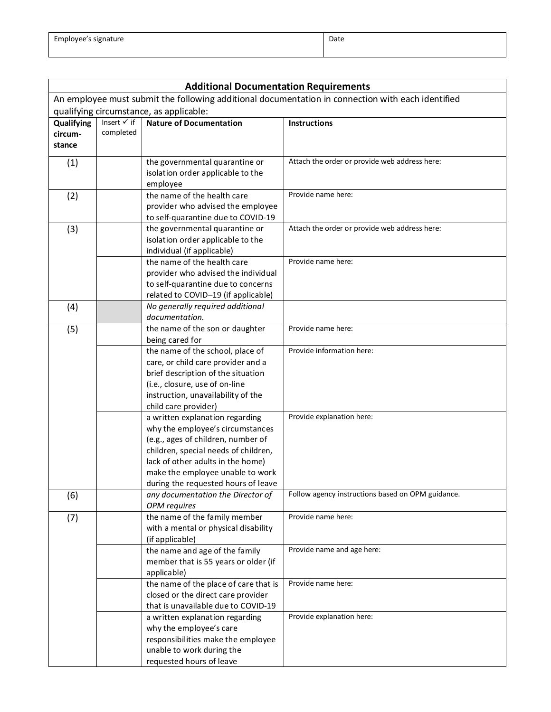| <b>Additional Documentation Requirements</b>                                                      |                        |                                                                           |                                                   |  |  |  |
|---------------------------------------------------------------------------------------------------|------------------------|---------------------------------------------------------------------------|---------------------------------------------------|--|--|--|
| An employee must submit the following additional documentation in connection with each identified |                        |                                                                           |                                                   |  |  |  |
| qualifying circumstance, as applicable:                                                           |                        |                                                                           |                                                   |  |  |  |
| Qualifying                                                                                        | Insert $\checkmark$ if | <b>Nature of Documentation</b>                                            | <b>Instructions</b>                               |  |  |  |
| circum-                                                                                           | completed              |                                                                           |                                                   |  |  |  |
| stance                                                                                            |                        |                                                                           |                                                   |  |  |  |
| (1)                                                                                               |                        | the governmental quarantine or                                            | Attach the order or provide web address here:     |  |  |  |
|                                                                                                   |                        | isolation order applicable to the                                         |                                                   |  |  |  |
|                                                                                                   |                        | employee                                                                  |                                                   |  |  |  |
| (2)                                                                                               |                        | the name of the health care                                               | Provide name here:                                |  |  |  |
|                                                                                                   |                        | provider who advised the employee                                         |                                                   |  |  |  |
|                                                                                                   |                        | to self-quarantine due to COVID-19                                        |                                                   |  |  |  |
| (3)                                                                                               |                        | the governmental quarantine or                                            | Attach the order or provide web address here:     |  |  |  |
|                                                                                                   |                        | isolation order applicable to the<br>individual (if applicable)           |                                                   |  |  |  |
|                                                                                                   |                        | the name of the health care                                               | Provide name here:                                |  |  |  |
|                                                                                                   |                        | provider who advised the individual                                       |                                                   |  |  |  |
|                                                                                                   |                        | to self-quarantine due to concerns                                        |                                                   |  |  |  |
|                                                                                                   |                        | related to COVID-19 (if applicable)                                       |                                                   |  |  |  |
| (4)                                                                                               |                        | No generally required additional                                          |                                                   |  |  |  |
|                                                                                                   |                        | documentation.                                                            |                                                   |  |  |  |
| (5)                                                                                               |                        | the name of the son or daughter                                           | Provide name here:                                |  |  |  |
|                                                                                                   |                        | being cared for                                                           | Provide information here:                         |  |  |  |
|                                                                                                   |                        | the name of the school, place of<br>care, or child care provider and a    |                                                   |  |  |  |
|                                                                                                   |                        | brief description of the situation                                        |                                                   |  |  |  |
|                                                                                                   |                        | (i.e., closure, use of on-line                                            |                                                   |  |  |  |
|                                                                                                   |                        | instruction, unavailability of the                                        |                                                   |  |  |  |
|                                                                                                   |                        | child care provider)                                                      |                                                   |  |  |  |
|                                                                                                   |                        | a written explanation regarding                                           | Provide explanation here:                         |  |  |  |
|                                                                                                   |                        | why the employee's circumstances                                          |                                                   |  |  |  |
|                                                                                                   |                        | (e.g., ages of children, number of                                        |                                                   |  |  |  |
|                                                                                                   |                        | children, special needs of children,<br>lack of other adults in the home) |                                                   |  |  |  |
|                                                                                                   |                        | make the employee unable to work                                          |                                                   |  |  |  |
|                                                                                                   |                        | during the requested hours of leave                                       |                                                   |  |  |  |
| (6)                                                                                               |                        | any documentation the Director of                                         | Follow agency instructions based on OPM guidance. |  |  |  |
|                                                                                                   |                        | OPM requires                                                              |                                                   |  |  |  |
| (7)                                                                                               |                        | the name of the family member                                             | Provide name here:                                |  |  |  |
|                                                                                                   |                        | with a mental or physical disability                                      |                                                   |  |  |  |
|                                                                                                   |                        | (if applicable)                                                           |                                                   |  |  |  |
|                                                                                                   |                        | the name and age of the family                                            | Provide name and age here:                        |  |  |  |
|                                                                                                   |                        | member that is 55 years or older (if                                      |                                                   |  |  |  |
|                                                                                                   |                        | applicable)<br>the name of the place of care that is                      | Provide name here:                                |  |  |  |
|                                                                                                   |                        | closed or the direct care provider                                        |                                                   |  |  |  |
|                                                                                                   |                        | that is unavailable due to COVID-19                                       |                                                   |  |  |  |
|                                                                                                   |                        | a written explanation regarding                                           | Provide explanation here:                         |  |  |  |
|                                                                                                   |                        | why the employee's care                                                   |                                                   |  |  |  |
|                                                                                                   |                        | responsibilities make the employee                                        |                                                   |  |  |  |
|                                                                                                   |                        | unable to work during the                                                 |                                                   |  |  |  |
|                                                                                                   |                        | requested hours of leave                                                  |                                                   |  |  |  |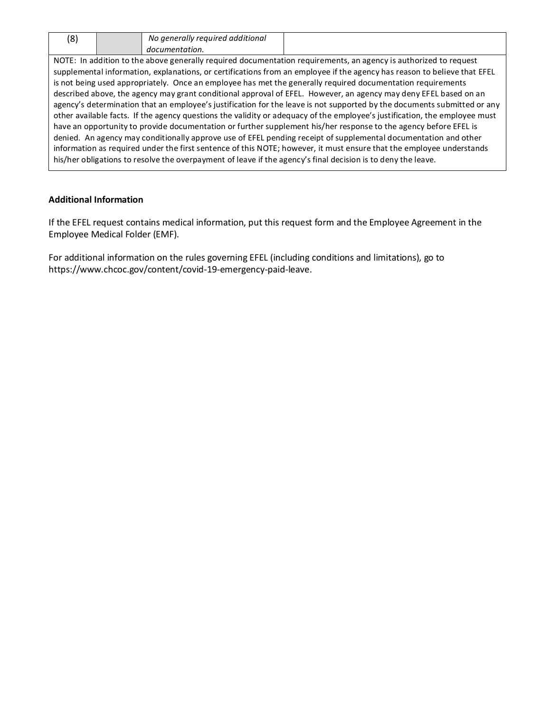| ้8) | No generally required additional |
|-----|----------------------------------|
|     | documentation.                   |

NOTE: In addition to the above generally required documentation requirements, an agency is authorized to request supplemental information, explanations, or certifications from an employee if the agency has reason to believe that EFEL is not being used appropriately. Once an employee has met the generally required documentation requirements described above, the agency may grant conditional approval of EFEL. However, an agency may deny EFEL based on an agency's determination that an employee's justification for the leave is not supported by the documents submitted or any other available facts. If the agency questions the validity or adequacy of the employee's justification, the employee must have an opportunity to provide documentation or further supplement his/her response to the agency before EFEL is denied. An agency may conditionally approve use of EFEL pending receipt of supplemental documentation and other information as required under the first sentence of this NOTE; however, it must ensure that the employee understands his/her obligations to resolve the overpayment of leave if the agency's final decision is to deny the leave.

#### **Additional Information**

If the EFEL request contains medical information, put this request form and the Employee Agreement in the Employee Medical Folder (EMF).

For additional information on the rules governing EFEL (including conditions and limitations), go to https://www.chcoc.gov/content/covid-19-emergency-paid-leave.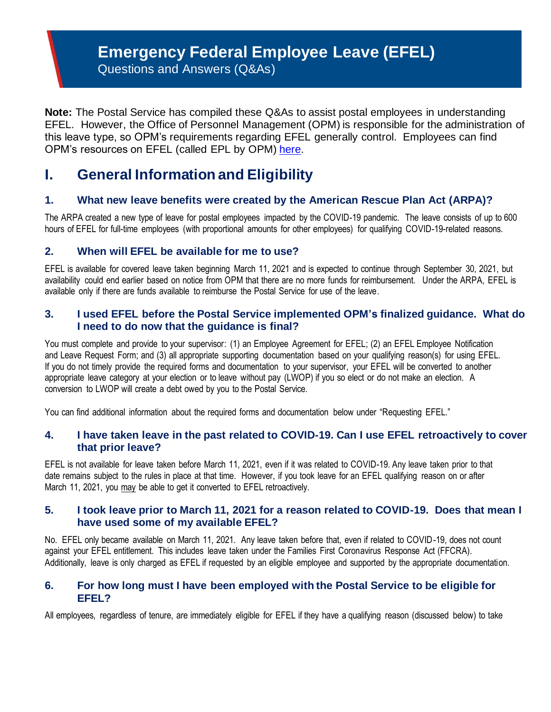# **Emergency Federal Employee Leave (EFEL)**

Questions and Answers (Q&As)

**Note:** The Postal Service has compiled these Q&As to assist postal employees in understanding EFEL. However, the Office of Personnel Management (OPM) is responsible for the administration of this leave type, so OPM's requirements regarding EFEL generally control. Employees can find OPM's resources on EFEL (called EPL by OPM) [here.](https://www.chcoc.gov/content/covid-19-emergency-paid-leave)

# **I. General Information and Eligibility**

# **1. What new leave benefits were created by the American Rescue Plan Act (ARPA)?**

The ARPA created a new type of leave for postal employees impacted by the COVID-19 pandemic. The leave consists of up to 600 hours of EFEL for full-time employees (with proportional amounts for other employees) for qualifying COVID-19-related reasons.

# **2. When will EFEL be available for me to use?**

EFEL is available for covered leave taken beginning March 11, 2021 and is expected to continue through September 30, 2021, but availability could end earlier based on notice from OPM that there are no more funds for reimbursement. Under the ARPA, EFEL is available only if there are funds available to reimburse the Postal Service for use of the leave.

# **3. I used EFEL before the Postal Service implemented OPM's finalized guidance. What do I need to do now that the guidance is final?**

You must complete and provide to your supervisor: (1) an Employee Agreement for EFEL; (2) an EFEL Employee Notification and Leave Request Form; and (3) all appropriate supporting documentation based on your qualifying reason(s) for using EFEL. If you do not timely provide the required forms and documentation to your supervisor, your EFEL will be converted to another appropriate leave category at your election or to leave without pay (LWOP) if you so elect or do not make an election. A conversion to LWOP will create a debt owed by you to the Postal Service.

You can find additional information about the required forms and documentation below under "Requesting EFEL."

# **4. I have taken leave in the past related to COVID-19. Can I use EFEL retroactively to cover that prior leave?**

EFEL is not available for leave taken before March 11, 2021, even if it was related to COVID-19. Any leave taken prior to that date remains subject to the rules in place at that time. However, if you took leave for an EFEL qualifying reason on or after March 11, 2021, you may be able to get it converted to EFEL retroactively.

# **5. I took leave prior to March 11, 2021 for a reason related to COVID-19. Does that mean I have used some of my available EFEL?**

No. EFEL only became available on March 11, 2021. Any leave taken before that, even if related to COVID-19, does not count against your EFEL entitlement. This includes leave taken under the Families First Coronavirus Response Act (FFCRA). Additionally, leave is only charged as EFEL if requested by an eligible employee and supported by the appropriate documentation.

# **6. For how long must I have been employed with the Postal Service to be eligible for EFEL?**

All employees, regardless of tenure, are immediately eligible for EFEL if they have a qualifying reason (discussed below) to take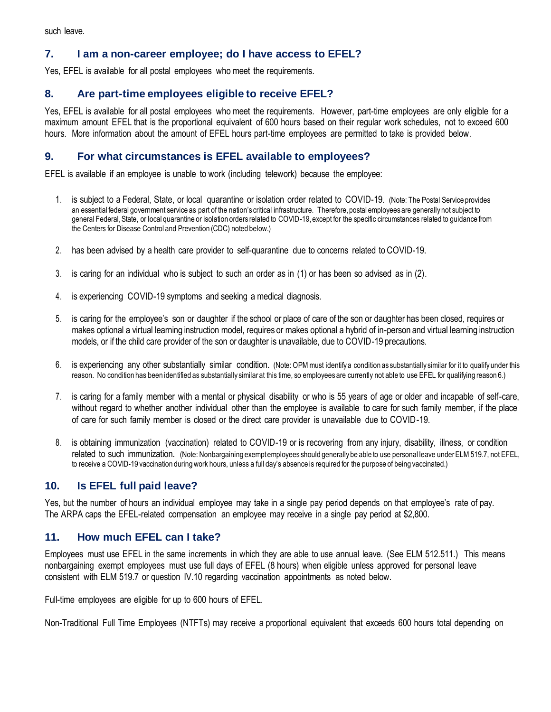such leave.

# **7. I am a non-career employee; do I have access to EFEL?**

Yes, EFEL is available for all postal employees who meet the requirements.

# **8. Are part-time employees eligible to receive EFEL?**

Yes, EFEL is available for all postal employees who meet the requirements. However, part-time employees are only eligible for a maximum amount EFEL that is the proportional equivalent of 600 hours based on their regular work schedules, not to exceed 600 hours. More information about the amount of EFEL hours part-time employees are permitted to take is provided below.

# **9. For what circumstances is EFEL available to employees?**

EFEL is available if an employee is unable to work (including telework) because the employee:

- 1. is subject to a Federal, State, or local quarantine or isolation order related to COVID-19. (Note: The Postal Service provides an essential federal government service as part of the nation's critical infrastructure. Therefore, postal employees are generally not subject to general Federal, State, or local quarantine or isolation orders related to COVID-19, except for the specific circumstances related to guidance from the Centers for Disease Control and Prevention (CDC) noted below.)
- 2. has been advised by a health care provider to self-quarantine due to concerns related to COVID-19.
- 3. is caring for an individual who is subject to such an order as in (1) or has been so advised as in (2).
- 4. is experiencing COVID-19 symptoms and seeking a medical diagnosis.
- 5. is caring for the employee's son or daughter if the school or place of care of the son or daughter has been closed, requires or makes optional a virtual learning instruction model, requires or makes optional a hybrid of in-person and virtual learning instruction models, or if the child care provider of the son or daughter is unavailable, due to COVID-19 precautions.
- 6. is experiencing any other substantially similar condition. (Note: OPM must identify a condition as substantially similar for it to qualify under this reason. No condition has been identified as substantially similar at this time, so employees are currently not able to use EFEL for qualifying reason 6.)
- 7. is caring for a family member with a mental or physical disability or who is 55 years of age or older and incapable of self-care, without regard to whether another individual other than the employee is available to care for such family member, if the place of care for such family member is closed or the direct care provider is unavailable due to COVID-19.
- 8. is obtaining immunization (vaccination) related to COVID-19 or is recovering from any injury, disability, illness, or condition related to such immunization. (Note: Nonbargaining exempt employees should generally be able to use personal leave under ELM 519.7, not EFEL, to receive a COVID-19 vaccination during work hours, unless a full day's absence is required for the purpose of being vaccinated.)

### **10. Is EFEL full paid leave?**

Yes, but the number of hours an individual employee may take in a single pay period depends on that employee's rate of pay. The ARPA caps the EFEL-related compensation an employee may receive in a single pay period at \$2,800.

### **11. How much EFEL can I take?**

Employees must use EFEL in the same increments in which they are able to use annual leave. (See ELM 512.511.) This means nonbargaining exempt employees must use full days of EFEL (8 hours) when eligible unless approved for personal leave consistent with ELM 519.7 or question IV.10 regarding vaccination appointments as noted below.

Full-time employees are eligible for up to 600 hours of EFEL.

Non-Traditional Full Time Employees (NTFTs) may receive a proportional equivalent that exceeds 600 hours total depending on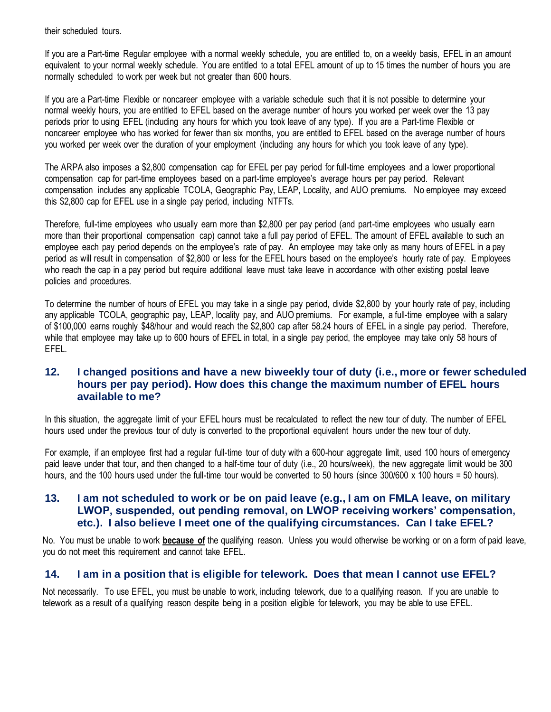their scheduled tours.

If you are a Part-time Regular employee with a normal weekly schedule, you are entitled to, on a weekly basis, EFEL in an amount equivalent to your normal weekly schedule. You are entitled to a total EFEL amount of up to 15 times the number of hours you are normally scheduled to work per week but not greater than 600 hours.

If you are a Part-time Flexible or noncareer employee with a variable schedule such that it is not possible to determine your normal weekly hours, you are entitled to EFEL based on the average number of hours you worked per week over the 13 pay periods prior to using EFEL (including any hours for which you took leave of any type). If you are a Part-time Flexible or noncareer employee who has worked for fewer than six months, you are entitled to EFEL based on the average number of hours you worked per week over the duration of your employment (including any hours for which you took leave of any type).

The ARPA also imposes a \$2,800 compensation cap for EFEL per pay period for full-time employees and a lower proportional compensation cap for part-time employees based on a part-time employee's average hours per pay period. Relevant compensation includes any applicable TCOLA, Geographic Pay, LEAP, Locality, and AUO premiums. No employee may exceed this \$2,800 cap for EFEL use in a single pay period, including NTFTs.

Therefore, full-time employees who usually earn more than \$2,800 per pay period (and part-time employees who usually earn more than their proportional compensation cap) cannot take a full pay period of EFEL. The amount of EFEL available to such an employee each pay period depends on the employee's rate of pay. An employee may take only as many hours of EFEL in a pay period as will result in compensation of \$2,800 or less for the EFEL hours based on the employee's hourly rate of pay. Employees who reach the cap in a pay period but require additional leave must take leave in accordance with other existing postal leave policies and procedures.

To determine the number of hours of EFEL you may take in a single pay period, divide \$2,800 by your hourly rate of pay, including any applicable TCOLA, geographic pay, LEAP, locality pay, and AUO premiums. For example, a full-time employee with a salary of \$100,000 earns roughly \$48/hour and would reach the \$2,800 cap after 58.24 hours of EFEL in a single pay period. Therefore, while that employee may take up to 600 hours of EFEL in total, in a single pay period, the employee may take only 58 hours of EFEL.

# **12. I changed positions and have a new biweekly tour of duty (i.e., more or fewer scheduled hours per pay period). How does this change the maximum number of EFEL hours available to me?**

In this situation, the aggregate limit of your EFEL hours must be recalculated to reflect the new tour of duty. The number of EFEL hours used under the previous tour of duty is converted to the proportional equivalent hours under the new tour of duty.

For example, if an employee first had a regular full-time tour of duty with a 600-hour aggregate limit, used 100 hours of emergency paid leave under that tour, and then changed to a half-time tour of duty (i.e., 20 hours/week), the new aggregate limit would be 300 hours, and the 100 hours used under the full-time tour would be converted to 50 hours (since  $300/600 \times 100$  hours = 50 hours).

# **13. I am not scheduled to work or be on paid leave (e.g., I am on FMLA leave, on military LWOP, suspended, out pending removal, on LWOP receiving workers' compensation, etc.). I also believe I meet one of the qualifying circumstances. Can I take EFEL?**

No. You must be unable to work **because of** the qualifying reason. Unless you would otherwise be working or on a form of paid leave, you do not meet this requirement and cannot take EFEL.

# **14. I am in a position that is eligible for telework. Does that mean I cannot use EFEL?**

Not necessarily. To use EFEL, you must be unable to work, including telework, due to a qualifying reason. If you are unable to telework as a result of a qualifying reason despite being in a position eligible for telework, you may be able to use EFEL.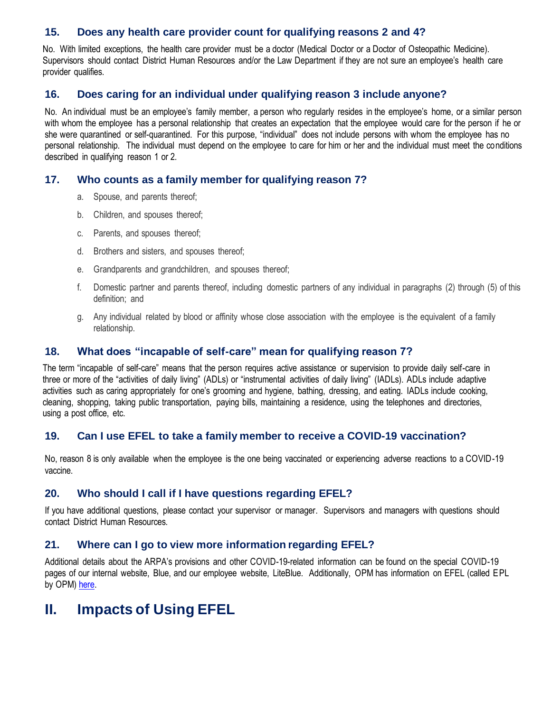# **15. Does any health care provider count for qualifying reasons 2 and 4?**

No. With limited exceptions, the health care provider must be a doctor (Medical Doctor or a Doctor of Osteopathic Medicine). Supervisors should contact District Human Resources and/or the Law Department if they are not sure an employee's health care provider qualifies.

# **16. Does caring for an individual under qualifying reason 3 include anyone?**

No. An individual must be an employee's family member, a person who regularly resides in the employee's home, or a similar person with whom the employee has a personal relationship that creates an expectation that the employee would care for the person if he or she were quarantined or self-quarantined. For this purpose, "individual" does not include persons with whom the employee has no personal relationship. The individual must depend on the employee to care for him or her and the individual must meet the conditions described in qualifying reason 1 or 2.

### **17. Who counts as a family member for qualifying reason 7?**

- a. Spouse, and parents thereof;
- b. Children, and spouses thereof;
- c. Parents, and spouses thereof;
- d. Brothers and sisters, and spouses thereof;
- e. Grandparents and grandchildren, and spouses thereof;
- f. Domestic partner and parents thereof, including domestic partners of any individual in paragraphs (2) through (5) of this definition; and
- g. Any individual related by blood or affinity whose close association with the employee is the equivalent of a family relationship.

# **18. What does "incapable of self-care" mean for qualifying reason 7?**

The term "incapable of self-care" means that the person requires active assistance or supervision to provide daily self-care in three or more of the "activities of daily living" (ADLs) or "instrumental activities of daily living" (IADLs). ADLs include adaptive activities such as caring appropriately for one's grooming and hygiene, bathing, dressing, and eating. IADLs include cooking, cleaning, shopping, taking public transportation, paying bills, maintaining a residence, using the telephones and directories, using a post office, etc.

### **19. Can I use EFEL to take a family member to receive a COVID-19 vaccination?**

No, reason 8 is only available when the employee is the one being vaccinated or experiencing adverse reactions to a COVID-19 vaccine.

### **20. Who should I call if I have questions regarding EFEL?**

If you have additional questions, please contact your supervisor or manager. Supervisors and managers with questions should contact District Human Resources.

### **21. Where can I go to view more information regarding EFEL?**

Additional details about the ARPA's provisions and other COVID-19-related information can be found on the special COVID-19 pages of our internal website, Blue, and our employee website, LiteBlue. Additionally, OPM has information on EFEL (called EPL by OPM[\) here.](https://www.chcoc.gov/content/covid-19-emergency-paid-leave)

# **II. Impacts of Using EFEL**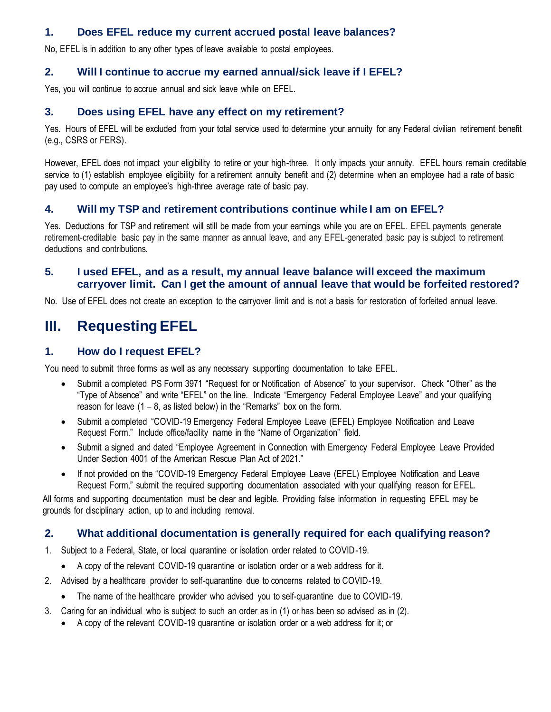# **1. Does EFEL reduce my current accrued postal leave balances?**

No, EFEL is in addition to any other types of leave available to postal employees.

# **2. Will I continue to accrue my earned annual/sick leave if I EFEL?**

Yes, you will continue to accrue annual and sick leave while on EFEL.

# **3. Does using EFEL have any effect on my retirement?**

Yes. Hours of EFEL will be excluded from your total service used to determine your annuity for any Federal civilian retirement benefit (e.g., CSRS or FERS).

However, EFEL does not impact your eligibility to retire or your high-three. It only impacts your annuity. EFEL hours remain creditable service to (1) establish employee eligibility for a retirement annuity benefit and (2) determine when an employee had a rate of basic pay used to compute an employee's high-three average rate of basic pay.

# **4. Will my TSP and retirement contributions continue while I am on EFEL?**

Yes. Deductions for TSP and retirement will still be made from your earnings while you are on EFEL. EFEL payments generate retirement-creditable basic pay in the same manner as annual leave, and any EFEL-generated basic pay is subject to retirement deductions and contributions.

# **5. I used EFEL, and as a result, my annual leave balance will exceed the maximum carryover limit. Can I get the amount of annual leave that would be forfeited restored?**

No. Use of EFEL does not create an exception to the carryover limit and is not a basis for restoration of forfeited annual leave.

# **III. Requesting EFEL**

# **1. How do I request EFEL?**

You need to submit three forms as well as any necessary supporting documentation to take EFEL.

- Submit a completed PS Form 3971 "Request for or Notification of Absence" to your supervisor. Check "Other" as the "Type of Absence" and write "EFEL" on the line. Indicate "Emergency Federal Employee Leave" and your qualifying reason for leave  $(1 - 8)$ , as listed below) in the "Remarks" box on the form.
- Submit a completed "COVID-19 Emergency Federal Employee Leave (EFEL) Employee Notification and Leave Request Form." Include office/facility name in the "Name of Organization" field.
- Submit a signed and dated "Employee Agreement in Connection with Emergency Federal Employee Leave Provided Under Section 4001 of the American Rescue Plan Act of 2021."
- If not provided on the "COVID-19 Emergency Federal Employee Leave (EFEL) Employee Notification and Leave Request Form," submit the required supporting documentation associated with your qualifying reason for EFEL.

All forms and supporting documentation must be clear and legible. Providing false information in requesting EFEL may be grounds for disciplinary action, up to and including removal.

### **2. What additional documentation is generally required for each qualifying reason?**

- 1. Subject to a Federal, State, or local quarantine or isolation order related to COVID-19.
	- A copy of the relevant COVID-19 quarantine or isolation order or a web address for it.
- 2. Advised by a healthcare provider to self-quarantine due to concerns related to COVID-19.
	- The name of the healthcare provider who advised you to self-quarantine due to COVID-19.
- 3. Caring for an individual who is subject to such an order as in (1) or has been so advised as in (2).
	- A copy of the relevant COVID-19 quarantine or isolation order or a web address for it; or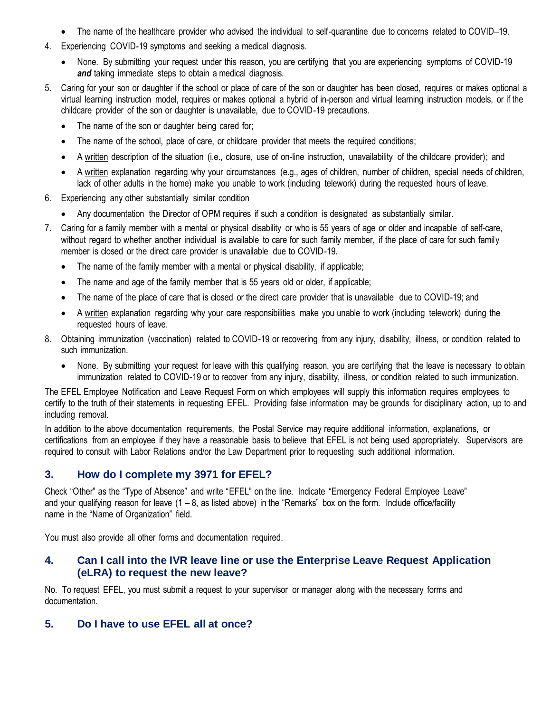- The name of the healthcare provider who advised the individual to self-quarantine due to concerns related to COVID–19.
- 4. Experiencing COVID-19 symptoms and seeking a medical diagnosis.
	- None. By submitting your request under this reason, you are certifying that you are experiencing symptoms of COVID-19 **and** taking immediate steps to obtain a medical diagnosis.
- 5. Caring for your son or daughter if the school or place of care of the son or daughter has been closed, requires or makes optional a virtual learning instruction model, requires or makes optional a hybrid of in-person and virtual learning instruction models, or if the childcare provider of the son or daughter is unavailable, due to COVID-19 precautions.
	- The name of the son or daughter being cared for;
	- The name of the school, place of care, or childcare provider that meets the required conditions;
	- A written description of the situation (i.e., closure, use of on-line instruction, unavailability of the childcare provider); and
	- A written explanation regarding why your circumstances (e.g., ages of children, number of children, special needs of children, lack of other adults in the home) make you unable to work (including telework) during the requested hours of leave.
- 6. Experiencing any other substantially similar condition
	- Any documentation the Director of OPM requires if such a condition is designated as substantially similar.
- 7. Caring for a family member with a mental or physical disability or who is 55 years of age or older and incapable of self-care, without regard to whether another individual is available to care for such family member, if the place of care for such family member is closed or the direct care provider is unavailable due to COVID-19.
	- The name of the family member with a mental or physical disability, if applicable;
	- The name and age of the family member that is 55 years old or older, if applicable;
	- The name of the place of care that is closed or the direct care provider that is unavailable due to COVID-19; and
	- A written explanation regarding why your care responsibilities make you unable to work (including telework) during the requested hours of leave.
- 8. Obtaining immunization (vaccination) related to COVID-19 or recovering from any injury, disability, illness, or condition related to such immunization.
	- None. By submitting your request for leave with this qualifying reason, you are certifying that the leave is necessary to obtain immunization related to COVID-19 or to recover from any injury, disability, illness, or condition related to such immunization.

The EFEL Employee Notification and Leave Request Form on which employees will supply this information requires employees to certify to the truth of their statements in requesting EFEL. Providing false information may be grounds for disciplinary action, up to and including removal.

In addition to the above documentation requirements, the Postal Service may require additional information, explanations, or certifications from an employee if they have a reasonable basis to believe that EFEL is not being used appropriately. Supervisors are required to consult with Labor Relations and/or the Law Department prior to requesting such additional information.

# **3. How do I complete my 3971 for EFEL?**

Check "Other" as the "Type of Absence" and write "EFEL" on the line. Indicate "Emergency Federal Employee Leave" and your qualifying reason for leave  $(1 - 8)$ , as listed above) in the "Remarks" box on the form. Include office/facility name in the "Name of Organization" field.

You must also provide all other forms and documentation required.

# **4. Can I call into the IVR leave line or use the Enterprise Leave Request Application (eLRA) to request the new leave?**

No. To request EFEL, you must submit a request to your supervisor or manager along with the necessary forms and documentation.

# **5. Do I have to use EFEL all at once?**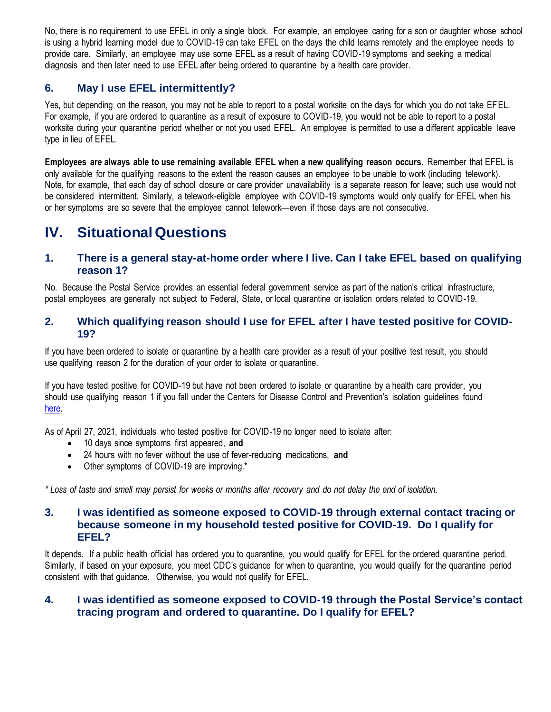No, there is no requirement to use EFEL in only a single block. For example, an employee caring for a son or daughter whose school is using a hybrid learning model due to COVID-19 can take EFEL on the days the child learns remotely and the employee needs to provide care. Similarly, an employee may use some EFEL as a result of having COVID-19 symptoms and seeking a medical diagnosis and then later need to use EFEL after being ordered to quarantine by a health care provider.

# **6. May I use EFEL intermittently?**

Yes, but depending on the reason, you may not be able to report to a postal worksite on the days for which you do not take EFEL. For example, if you are ordered to quarantine as a result of exposure to COVID-19, you would not be able to report to a postal worksite during your quarantine period whether or not you used EFEL. An employee is permitted to use a different applicable leave type in lieu of EFEL.

**Employees are always able to use remaining available EFEL when a new qualifying reason occurs.** Remember that EFEL is only available for the qualifying reasons to the extent the reason causes an employee to be unable to work (including telework). Note, for example, that each day of school closure or care provider unavailability is a separate reason for leave; such use would not be considered intermittent. Similarly, a telework-eligible employee with COVID-19 symptoms would only qualify for EFEL when his or her symptoms are so severe that the employee cannot telework—even if those days are not consecutive.

# **IV. Situational Questions**

# **1. There is a general stay-at-home order where I live. Can I take EFEL based on qualifying reason 1?**

No. Because the Postal Service provides an essential federal government service as part of the nation's critical infrastructure, postal employees are generally not subject to Federal, State, or local quarantine or isolation orders related to COVID-19.

### **2. Which qualifying reason should I use for EFEL after I have tested positive for COVID-19?**

If you have been ordered to isolate or quarantine by a health care provider as a result of your positive test result, you should use qualifying reason 2 for the duration of your order to isolate or quarantine.

If you have tested positive for COVID-19 but have not been ordered to isolate or quarantine by a health care provider, you should use qualifying reason 1 if you fall under the Centers for Disease Control and Prevention's isolation guidelines found [here.](https://www.cdc.gov/coronavirus/2019-ncov/if-you-are-sick/end-home-isolation.html) 

As of April 27, 2021, individuals who tested positive for COVID-19 no longer need to isolate after:

- 10 days since symptoms first appeared, **and**
- 24 hours with no fever without the use of fever-reducing medications, **and**
- Other symptoms of COVID-19 are improving.\*

*\* Loss of taste and smell may persist for weeks or months after recovery and do not delay the end of isolation.*

# **3. I was identified as someone exposed to COVID-19 through external contact tracing or because someone in my household tested positive for COVID-19. Do I qualify for EFEL?**

It depends. If a public health official has ordered you to quarantine, you would qualify for EFEL for the ordered quarantine period. Similarly, if based on your exposure, you meet CDC's guidance for when to quarantine, you would qualify for the quarantine period consistent with that guidance. Otherwise, you would not qualify for EFEL.

# **4. I was identified as someone exposed to COVID-19 through the Postal Service's contact tracing program and ordered to quarantine. Do I qualify for EFEL?**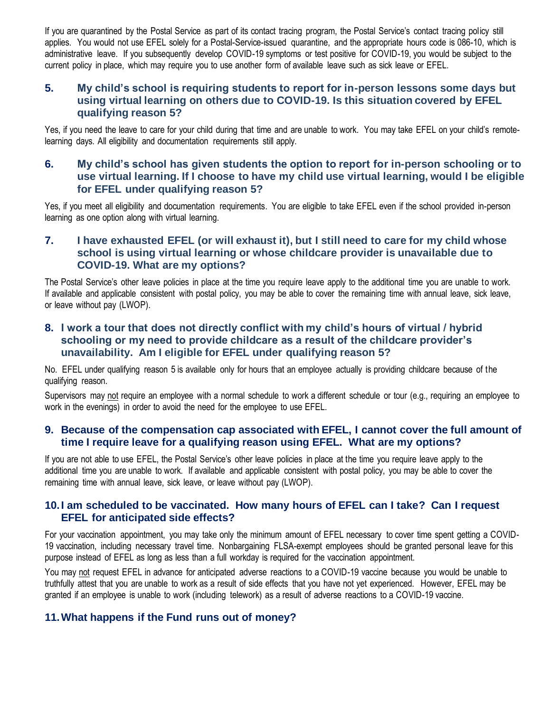If you are quarantined by the Postal Service as part of its contact tracing program, the Postal Service's contact tracing policy still applies. You would not use EFEL solely for a Postal-Service-issued quarantine, and the appropriate hours code is 086-10, which is administrative leave. If you subsequently develop COVID-19 symptoms or test positive for COVID-19, you would be subject to the current policy in place, which may require you to use another form of available leave such as sick leave or EFEL.

# **5. My child's school is requiring students to report for in-person lessons some days but using virtual learning on others due to COVID-19. Is this situation covered by EFEL qualifying reason 5?**

Yes, if you need the leave to care for your child during that time and are unable to work. You may take EFEL on your child's remotelearning days. All eligibility and documentation requirements still apply.

# **6. My child's school has given students the option to report for in-person schooling or to use virtual learning. If I choose to have my child use virtual learning, would I be eligible for EFEL under qualifying reason 5?**

Yes, if you meet all eligibility and documentation requirements. You are eligible to take EFEL even if the school provided in-person learning as one option along with virtual learning.

# **7. I have exhausted EFEL (or will exhaust it), but I still need to care for my child whose school is using virtual learning or whose childcare provider is unavailable due to COVID-19. What are my options?**

The Postal Service's other leave policies in place at the time you require leave apply to the additional time you are unable to work. If available and applicable consistent with postal policy, you may be able to cover the remaining time with annual leave, sick leave, or leave without pay (LWOP).

### **8. I work a tour that does not directly conflict with my child's hours of virtual / hybrid schooling or my need to provide childcare as a result of the childcare provider's unavailability. Am I eligible for EFEL under qualifying reason 5?**

No. EFEL under qualifying reason 5 is available only for hours that an employee actually is providing childcare because of the qualifying reason.

Supervisors may not require an employee with a normal schedule to work a different schedule or tour (e.g., requiring an employee to work in the evenings) in order to avoid the need for the employee to use EFEL.

# **9. Because of the compensation cap associated with EFEL, I cannot cover the full amount of time I require leave for a qualifying reason using EFEL. What are my options?**

If you are not able to use EFEL, the Postal Service's other leave policies in place at the time you require leave apply to the additional time you are unable to work. If available and applicable consistent with postal policy, you may be able to cover the remaining time with annual leave, sick leave, or leave without pay (LWOP).

# **10.I am scheduled to be vaccinated. How many hours of EFEL can I take? Can I request EFEL for anticipated side effects?**

For your vaccination appointment, you may take only the minimum amount of EFEL necessary to cover time spent getting a COVID-19 vaccination, including necessary travel time. Nonbargaining FLSA-exempt employees should be granted personal leave for this purpose instead of EFEL as long as less than a full workday is required for the vaccination appointment.

You may not request EFEL in advance for anticipated adverse reactions to a COVID-19 vaccine because you would be unable to truthfully attest that you are unable to work as a result of side effects that you have not yet experienced. However, EFEL may be granted if an employee is unable to work (including telework) as a result of adverse reactions to a COVID-19 vaccine.

# **11.What happens if the Fund runs out of money?**